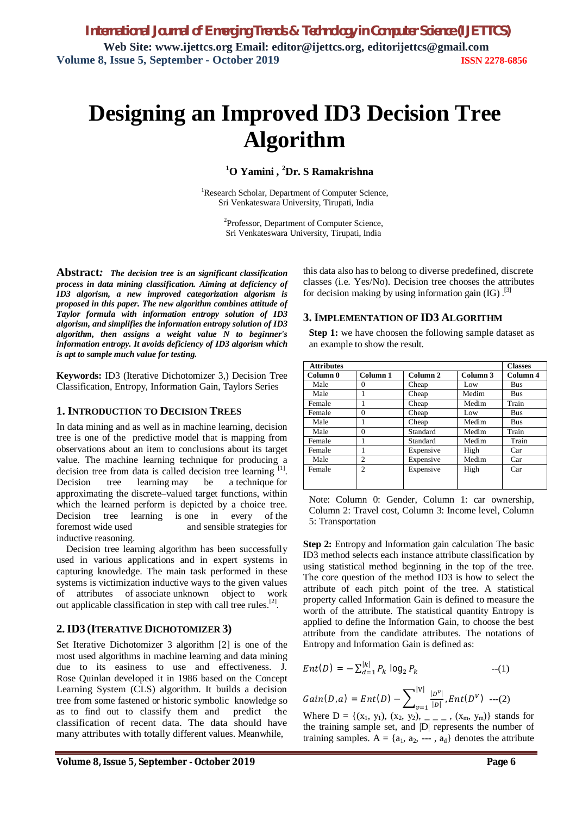# **Designing an Improved ID3 Decision Tree Algorithm**

**<sup>1</sup>O Yamini , <sup>2</sup>Dr. S Ramakrishna**

<sup>1</sup>Research Scholar, Department of Computer Science, Sri Venkateswara University, Tirupati, India

> <sup>2</sup>Professor, Department of Computer Science, Sri Venkateswara University, Tirupati, India

**Abstract***: The decision tree is an significant classification process in data mining classification. Aiming at deficiency of ID3 algorism, a new improved categorization algorism is proposed in this paper. The new algorithm combines attitude of Taylor formula with information entropy solution of ID3 algorism, and simplifies the information entropy solution of ID3 algorithm, then assigns a weight value N to beginner's information entropy. It avoids deficiency of ID3 algorism which is apt to sample much value for testing.*

**Keywords:** ID3 (Iterative Dichotomizer 3,) Decision Tree Classification, Entropy, Information Gain, Taylors Series

### **1. INTRODUCTION TO DECISION TREES**

In data mining and as well as in machine learning, decision tree is one of the predictive model that is mapping from observations about an item to conclusions about its target value. The machine learning technique for producing a decision tree from data is called decision tree learning  $[1]$ . Decision tree learning may be a technique for approximating the discrete–valued target functions, within which the learned perform is depicted by a choice tree. Decision tree learning is one in every of the foremost wide used and sensible strategies for inductive reasoning.

Decision tree learning algorithm has been successfully used in various applications and in expert systems in capturing knowledge. The main task performed in these systems is victimization inductive ways to the given values of attributes of associate unknown object to work out applicable classification in step with call tree rules.<sup>[2]</sup>.

## **2.ID3 (ITERATIVE DICHOTOMIZER 3)**

Set Iterative Dichotomizer 3 algorithm [2] is one of the most used algorithms in machine learning and data mining due to its easiness to use and effectiveness. J. Rose Quinlan developed it in 1986 based on the Concept Learning System (CLS) algorithm. It builds a decision tree from some fastened or historic symbolic knowledge so as to find out to classify them and predict the classification of recent data. The data should have many attributes with totally different values. Meanwhile,

this data also has to belong to diverse predefined, discrete classes (i.e. Yes/No). Decision tree chooses the attributes for decision making by using information gain  $(IG)$ .<sup>[3]</sup>

#### **3. IMPLEMENTATION OF ID3 ALGORITHM**

**Step 1:** we have choosen the following sample dataset as an example to show the result.

| <b>Attributes</b> |                |           |          | <b>Classes</b> |
|-------------------|----------------|-----------|----------|----------------|
| Column 0          | Column 1       | Column 2  | Column 3 | Column 4       |
| Male              | 0              | Cheap     | Low      | Bus            |
| Male              |                | Cheap     | Medim    | <b>Bus</b>     |
| Female            |                | Cheap     | Medim    | Train          |
| Female            | $\Omega$       | Cheap     | Low      | <b>Bus</b>     |
| Male              |                | Cheap     | Medim    | <b>Bus</b>     |
| Male              | $\Omega$       | Standard  | Medim    | Train          |
| Female            | 1              | Standard  | Medim    | Train          |
| Female            |                | Expensive | High     | Car            |
| Male              | 2              | Expensive | Medim    | Car            |
| Female            | $\mathfrak{D}$ | Expensive | High     | Car            |
|                   |                |           |          |                |

Note: Column 0: Gender, Column 1: car ownership, Column 2: Travel cost, Column 3: Income level, Column 5: Transportation

**Step 2:** Entropy and Information gain calculation The basic ID3 method selects each instance attribute classification by using statistical method beginning in the top of the tree. The core question of the method ID3 is how to select the attribute of each pitch point of the tree. A statistical property called Information Gain is defined to measure the worth of the attribute. The statistical quantity Entropy is applied to define the Information Gain, to choose the best attribute from the candidate attributes. The notations of Entropy and Information Gain is defined as:

$$
Ent(D) = -\sum_{d=1}^{|k|} P_k \log_2 P_k \qquad \qquad --(1)
$$

 $Gain(D, a) = Ent(D) - \sum |N| \frac{|D^v|}{|D|}$  $|D|$  $|{\tt V}|$  $\frac{|D^*|}{|D|}$ ,  $Ent(D^V)$  ---(2)

Where  $D = \{(x_1, y_1), (x_2, y_2), \dots, (x_m, y_m)\}\)$  stands for the training sample set, and |D| represents the number of training samples.  $A = \{a_1, a_2, \dots, a_d\}$  denotes the attribute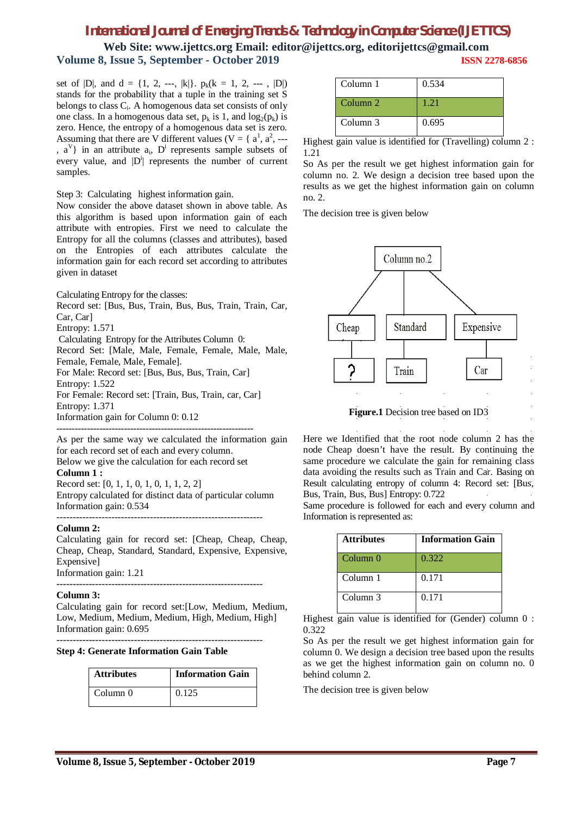# *International Journal of Emerging Trends & Technology in Computer Science (IJETTCS)*

**Web Site: www.ijettcs.org Email: editor@ijettcs.org, [editorijettcs@gmail.com](mailto:editorijettcs@gmail.com)  Volume 8, Issue 5, September - October 2019 ISSN 2278-6856**

set of  $|D|$ , and  $d = \{1, 2, -1, |k|\}$ .  $p_k(k = 1, 2, -1, |D|)$ stands for the probability that a tuple in the training set S belongs to class C<sub>i</sub>. A homogenous data set consists of only one class. In a homogenous data set,  $p_k$  is 1, and  $log_2(p_k)$  is zero. Hence, the entropy of a homogenous data set is zero. Assuming that there are V different values ( $V = \{a^1, a^2, \dots\}$ ,  $a^V$ } in an attribute  $a_i$ ,  $D^i$  represents sample subsets of every value, and  $|D^i|$  represents the number of current samples.

Step 3: Calculating highest information gain.

Now consider the above dataset shown in above table. As this algorithm is based upon information gain of each attribute with entropies. First we need to calculate the Entropy for all the columns (classes and attributes), based on the Entropies of each attributes calculate the information gain for each record set according to attributes given in dataset

Calculating Entropy for the classes:

Record set: [Bus, Bus, Train, Bus, Bus, Train, Train, Car, Car, Car]

Entropy: 1.571

Calculating Entropy for the Attributes Column 0:

Record Set: [Male, Male, Female, Female, Male, Male, Female, Female, Male, Female].

For Male: Record set: [Bus, Bus, Bus, Train, Car]

Entropy: 1.522

For Female: Record set: [Train, Bus, Train, car, Car] Entropy: 1.371

Information gain for Column 0: 0.12

---------------------------------------------------------------- As per the same way we calculated the information gain for each record set of each and every column.

Below we give the calculation for each record set

**Column 1 :**

Record set: [0, 1, 1, 0, 1, 0, 1, 1, 2, 2] Entropy calculated for distinct data of particular column Information gain: 0.534

---------------------------------------------------------------- **Column 2:**

Calculating gain for record set: [Cheap, Cheap, Cheap, Cheap, Cheap, Standard, Standard, Expensive, Expensive, Expensive] Information gain: 1.21

----------------------------------------------------------------

#### **Column 3:**

Calculating gain for record set:[Low, Medium, Medium, Low, Medium, Medium, Medium, High, Medium, High] Information gain: 0.695

----------------------------------------------------------------

#### **Step 4: Generate Information Gain Table**

| <b>Attributes</b> | <b>Information Gain</b> |
|-------------------|-------------------------|
| Column 0          | 0.125                   |

| Column 1            | 0.534 |
|---------------------|-------|
| Column <sub>2</sub> | 1.21  |
| Column 3            | 0.695 |

Highest gain value is identified for (Travelling) column 2 : 1.21

So As per the result we get highest information gain for column no. 2. We design a decision tree based upon the results as we get the highest information gain on column no. 2.

The decision tree is given below



Here we Identified that the root node column 2 has the node Cheap doesn't have the result. By continuing the same procedure we calculate the gain for remaining class data avoiding the results such as Train and Car. Basing on Result calculating entropy of column 4: Record set: [Bus, Bus, Train, Bus, Bus] Entropy: 0.722

Same procedure is followed for each and every column and Information is represented as:

| <b>Attributes</b>   | <b>Information Gain</b> |
|---------------------|-------------------------|
| Column <sub>0</sub> | 0.322                   |
| Column 1            | 0.171                   |
| Column 3            | 0.171                   |

Highest gain value is identified for (Gender) column 0 : 0.322

So As per the result we get highest information gain for column 0. We design a decision tree based upon the results as we get the highest information gain on column no. 0 behind column 2.

The decision tree is given below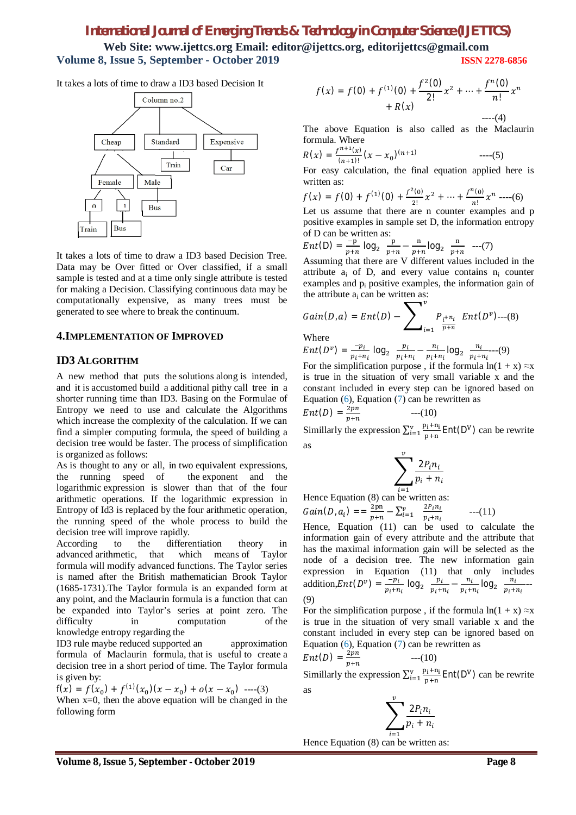# *International Journal of Emerging Trends & Technology in Computer Science (IJETTCS)*

**Web Site: www.ijettcs.org Email: editor@ijettcs.org, [editorijettcs@gmail.com](mailto:editorijettcs@gmail.com)  Volume 8, Issue 5, September - October 2019 ISSN 2278-6856**

It takes a lots of time to draw a ID3 based Decision It



It takes a lots of time to draw a ID3 based Decision Tree. Data may be Over fitted or Over classified, if a small sample is tested and at a time only single attribute is tested for making a Decision. Classifying continuous data may be computationally expensive, as many trees must be generated to see where to break the continuum.

#### **4.IMPLEMENTATION OF IMPROVED**

#### **ID3 ALGORITHM**

A new method that puts the solutions along is intended, and it is accustomed build a additional pithy call tree in a shorter running time than ID3. Basing on the Formulae of Entropy we need to use and calculate the Algorithms which increase the complexity of the calculation. If we can find a simpler computing formula, the speed of building a decision tree would be faster. The process of simplification is organized as follows:

As is thought to any or all, in two equivalent expressions, the running speed of the exponent and the logarithmic expression is slower than that of the four arithmetic operations. If the logarithmic expression in Entropy of Id3 is replaced by the four arithmetic operation, the running speed of the whole process to build the decision tree will improve rapidly.

According to the differentiation theory in advanced arithmetic, that which means of Taylor formula will modify advanced functions. The Taylor series is named after the British mathematician Brook Taylor (1685-1731).The Taylor formula is an expanded form at any point, and the Maclaurin formula is a function that can be expanded into Taylor's series at point zero. The difficulty in computation of the knowledge entropy regarding the

ID3 rule maybe reduced supported an approximation formula of Maclaurin formula, that is useful to create a decision tree in a short period of time. The Taylor formula is given by:

 $f(x) = f(x_0) + f^{(1)}(x_0)(x - x_0) + o(x - x_0)$  ----(3) When  $x=0$ , then the above equation will be changed in the following form

$$
f(x) = f(0) + f^{(1)}(0) + \frac{f^{2}(0)}{2!}x^{2} + \dots + \frac{f^{n}(0)}{n!}x^{n} + R(x)
$$

----(4) The above Equation is also called as the Maclaurin formula. Where

$$
R(x) = \frac{f^{n+1}(x)}{(n+1)!} (x - x_0)^{(n+1)} \qquad \qquad \text{---}(5)
$$

For easy calculation, the final equation applied here is written as:

$$
f(x) = f(0) + f^{(1)}(0) + \frac{f^{2}(0)}{2!}x^{2} + \dots + \frac{f^{n}(0)}{n!}x^{n} - \dots (6)
$$

Let us assume that there are n counter examples and p positive examples in sample set D, the information entropy of D can be written as:

$$
Ent(D) = \frac{-p}{p+n} \log_2 \frac{p}{p+n} - \frac{n}{p+n} \log_2 \frac{n}{p+n} \quad ---(7)
$$

Assuming that there are V different values included in the attribute  $a_i$  of D, and every value contains  $n_i$  counter examples and p<sup>i</sup> positive examples, the information gain of the attribute  $a_i$  can be written as:

$$
Gain(D, a) = Ent(D) - \sum\nolimits_{i=1}^{v} P_{\frac{i}{p+n_i}} Ent(D^v) \cdots (8)
$$

Where

$$
Ent(D^{\nu}) = \frac{-p_i}{p_i + n_i} \log_2 \frac{p_i}{p_i + n_i} - \frac{n_i}{p_i + n_i} \log_2 \frac{n_i}{p_i + n_i} \tag{9}
$$

For the simplification purpose, if the formula  $ln(1 + x) \approx x$ is true in the situation of very small variable x and the constant included in every step can be ignored based on Equation  $(6)$ , Equation  $(7)$  can be rewritten as

$$
Ent(D) = \frac{2pn}{p+n} \qquad \qquad ---(10)
$$

Simillarly the expression  $\sum_{i=1}^{v} \frac{p_i + n_i}{n}$ p+n  $\frac{v}{p_1 + n_1}$  Ent(D<sup>V</sup>) can be rewrite as

$$
\sum_{i=1}^v \frac{2P_i n_i}{p_i + n_i}
$$

 $i=1$ <br>Hence Equation (8) can be written as:

 $Gain(D, a_i) == \frac{2pn}{n+n}$  $\frac{2\text{pn}}{p+n} - \sum_{i=1}^{v} \frac{2P_i n_i}{p_i + n_i}$  $p_i + n_i$  $--(11)$ 

Hence, Equation (11) can be used to calculate the information gain of every attribute and the attribute that has the maximal information gain will be selected as the node of a decision tree. The new information gain expression in Equation (11) that only includes addition,  $Ent(D^v) = \frac{-p_i}{n}$  $\frac{-p_i}{p_i+n_i}$  log<sub>2</sub>  $\frac{p_i}{p_i+n_i}$  $\frac{p_i}{p_i+n_i}-\frac{n_i}{p_i+1}$  $\frac{n_i}{p_i+n_i}$ log<sub>2</sub>  $\frac{n_i}{p_i+n_i}$  $\frac{n_l}{p_i + n_i}$ --(9)

For the simplification purpose, if the formula  $ln(1 + x) \approx x$ is true in the situation of very small variable x and the constant included in every step can be ignored based on Equation  $(6)$ , Equation  $(7)$  can be rewritten as  $Ent(D) = \frac{2pn}{n+m}$  $p+n$  $-(-10)$ 

Simillarly the expression  $\sum_{i=1}^{v} \frac{p_i + n_i}{n}$ p+n  $\frac{v}{p_1 + n_1}$  Ent(D<sup>V</sup>) can be rewrite as

$$
\sum_{i=1}^v \frac{2P_in_i}{p_i+n_i}
$$

Hence Equation (8) can be written as: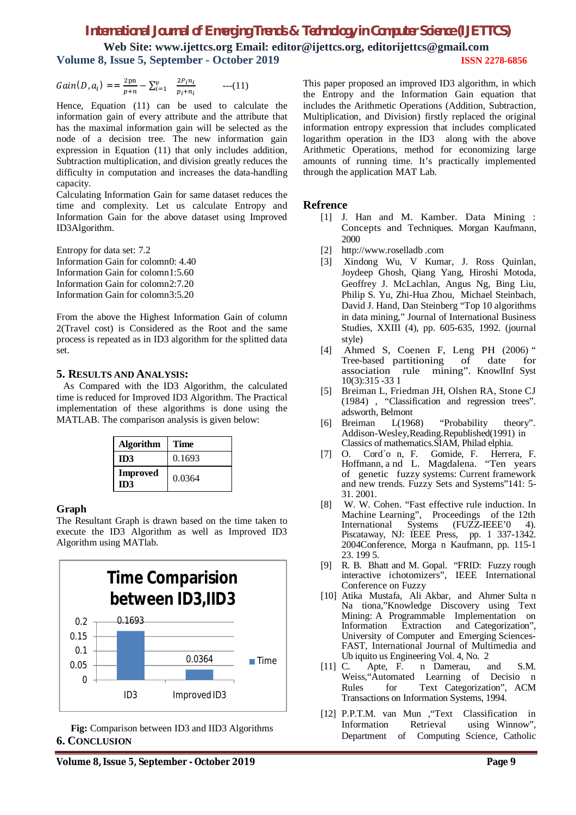# *International Journal of Emerging Trends & Technology in Computer Science (IJETTCS)* **Web Site: www.ijettcs.org Email: editor@ijettcs.org, [editorijettcs@gmail.com](mailto:editorijettcs@gmail.com)  Volume 8, Issue 5, September - October 2019 ISSN 2278-6856**

Gain(*D*, 
$$
a_i
$$
) = =  $\frac{2pn}{p+n} - \sum_{i=1}^{v} \frac{2P_i n_i}{p_i + n_i}$  --- (11)

Hence, Equation (11) can be used to calculate the information gain of every attribute and the attribute that has the maximal information gain will be selected as the node of a decision tree. The new information gain expression in Equation (11) that only includes addition, Subtraction multiplication, and division greatly reduces the difficulty in computation and increases the data-handling capacity.

Calculating Information Gain for same dataset reduces the time and complexity. Let us calculate Entropy and Information Gain for the above dataset using Improved ID3Algorithm.

Entropy for data set: 7.2 Information Gain for colomn0: 4.40 Information Gain for colomn1:5.60 Information Gain for colomn2:7.20 Information Gain for colomn3:5.20

From the above the Highest Information Gain of column 2(Travel cost) is Considered as the Root and the same process is repeated as in ID3 algorithm for the splitted data set.

#### **5. RESULTS AND ANALYSIS:**

As Compared with the ID3 Algorithm, the calculated time is reduced for Improved ID3 Algorithm. The Practical implementation of these algorithms is done using the MATLAB. The comparison analysis is given below:

| <b>Algorithm</b>              | Time   |
|-------------------------------|--------|
| ID3                           | 0.1693 |
| <b>Improved</b><br><b>ID3</b> | 0.0364 |

#### **Graph**

The Resultant Graph is drawn based on the time taken to execute the ID3 Algorithm as well as Improved ID3 Algorithm using MATlab.



**Fig:** Comparison between ID3 and IID3 Algorithms **6. CONCLUSION**

This paper proposed an improved ID3 algorithm, in which the Entropy and the Information Gain equation that includes the Arithmetic Operations (Addition, Subtraction, Multiplication, and Division) firstly replaced the original information entropy expression that includes complicated logarithm operation in the ID3 along with the above Arithmetic Operations, method for economizing large amounts of running time. It's practically implemented through the application MAT Lab.

#### **Refrence**

- [1] J. Han and M. Kamber. Data Mining : Concepts and Techniques. Morgan Kaufmann, 2000
- [2] <http://www.roselladb> .com
- [3] Xindong Wu, V Kumar, J. Ross Quinlan, Joydeep Ghosh, Qiang Yang, Hiroshi Motoda, Geoffrey J. McLachlan, Angus Ng, Bing Liu, Philip S. Yu, Zhi-Hua Zhou, Michael Steinbach, David J. Hand, Dan Steinberg "Top 10 algorithms in data mining," Journal of International Business Studies, XXIII (4), pp. 605-635, 1992. (journal style)
- [4] Ahmed S, Coenen F, Leng PH (2006) " Tree-based partitioning of date for association rule mining". KnowlInf Syst 10(3):315 -33 1
- [5] Breiman L, Friedman JH, Olshen RA, Stone CJ (1984) , "Classification and regression trees". adsworth, Belmont
- [6] Breiman L(1968) "Probability theory". Addison-Wesley,Reading.Republished(1991) in Classics of mathematics.SIAM, Philad elphia.
- [7] O. Cord´o n, F. Gomide, F. Herrera, F. Hoffmann, a nd L. Magdalena. "Ten years of genetic fuzzy systems: Current framework and new trends. Fuzzy Sets and Systems"141: 5- 31. 2001.
- [8] W. W. Cohen. "Fast effective rule induction. In Machine Learning", Proceedings of the 12th<br>International Systems (FUZZ-IEEE'0 4). Systems (FUZZ-IEEE'0 4). Piscataway, NJ: IEEE Press, pp. 1 337-1342. 2004Conference, Morga n Kaufmann, pp. 115-1 23. 199 5.
- [9] R. B. Bhatt and M. Gopal. "FRID: Fuzzy rough interactive ichotomizers", IEEE International Conference on Fuzzy
- [10] Atika Mustafa, Ali Akbar, and Ahmer Sulta n Na tiona,"Knowledge Discovery using Text Mining: A Programmable Implementation on Information Extraction and Categorization", University of Computer and Emerging Sciences-FAST, International Journal of Multimedia and Ub iquito us Engineering Vol. 4, No. 2<br>C. Apte, F. n Damerau,
- [11] C. Apte, F. n Damerau, and S.M. Learning of Decisio n Rules for Text Categorization", ACM Transactions on Information Systems, 1994.
- [12] P.P.T.M. van Mun ,"Text Classification in Information Retrieval using Winnow", Department of Computing Science, Catholic